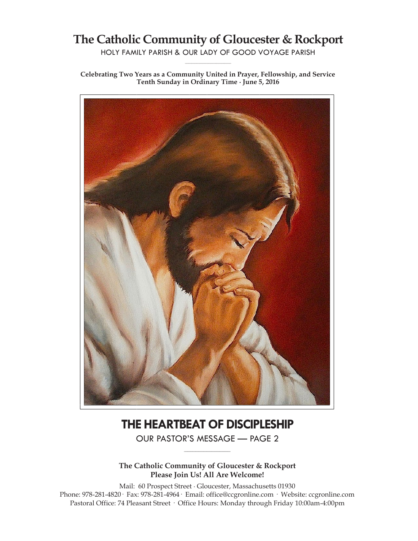## **The Catholic Community of Gloucester & Rockport**

HOLY FAMILY PARISH & OUR LADY OF GOOD VOYAGE PARISH **\_\_\_\_\_\_\_\_\_\_\_\_\_\_\_\_\_\_\_\_\_\_\_\_\_\_\_\_\_**

**Celebrating Two Years as a Community United in Prayer, Fellowship, and Service Tenth Sunday in Ordinary Time ∙ June 5, 2016**



# **THE HEARTBEAT OF DISCIPLESHIP**

OUR PASTOR'S MESSAGE — PAGE 2 **\_\_\_\_\_\_\_\_\_\_\_\_\_\_\_\_\_\_\_\_\_\_\_\_\_\_\_\_\_**

**The Catholic Community of Gloucester & Rockport Please Join Us! All Are Welcome!**

Mail: 60 Prospect Street ∙ Gloucester, Massachusetts 01930 Phone: 978-281-4820· Fax: 978-281-4964· Email: office@ccgronline.com · Website: ccgronline.com Pastoral Office: 74 Pleasant Street · Office Hours: Monday through Friday 10:00am-4:00pm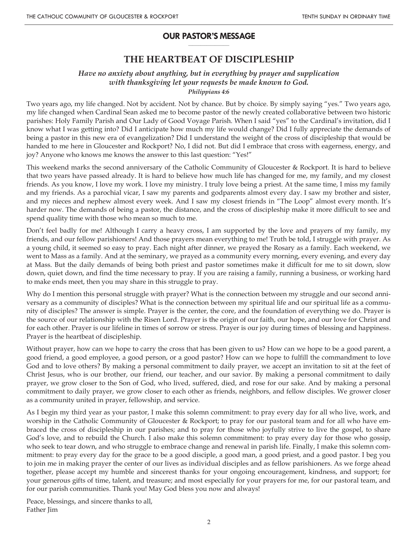#### **OUR PASTOR'S MESSAGE \_\_\_\_\_\_\_\_\_\_\_\_\_\_\_\_\_\_\_\_**

## **THE HEARTBEAT OF DISCIPLESHIP**

## *Have no anxiety about anything, but in everything by prayer and supplication with thanksgiving let your requests be made known to God. Philippians 4:6*

Two years ago, my life changed. Not by accident. Not by chance. But by choice. By simply saying "yes." Two years ago, my life changed when Cardinal Sean asked me to become pastor of the newly created collaborative between two historic parishes: Holy Family Parish and Our Lady of Good Voyage Parish. When I said "yes" to the Cardinal's invitation, did I know what I was getting into? Did I anticipate how much my life would change? Did I fully appreciate the demands of being a pastor in this new era of evangelization? Did I understand the weight of the cross of discipleship that would be handed to me here in Gloucester and Rockport? No, I did not. But did I embrace that cross with eagerness, energy, and joy? Anyone who knows me knows the answer to this last question: "Yes!"

This weekend marks the second anniversary of the Catholic Community of Gloucester & Rockport. It is hard to believe that two years have passed already. It is hard to believe how much life has changed for me, my family, and my closest friends. As you know, I love my work. I love my ministry. I truly love being a priest. At the same time, I miss my family and my friends. As a parochial vicar, I saw my parents and godparents almost every day. I saw my brother and sister, and my nieces and nephew almost every week. And I saw my closest friends in "The Loop" almost every month. It's harder now. The demands of being a pastor, the distance, and the cross of discipleship make it more difficult to see and spend quality time with those who mean so much to me.

Don't feel badly for me! Although I carry a heavy cross, I am supported by the love and prayers of my family, my friends, and our fellow parishioners! And those prayers mean everything to me! Truth be told, I struggle with prayer. As a young child, it seemed so easy to pray. Each night after dinner, we prayed the Rosary as a family. Each weekend, we went to Mass as a family. And at the seminary, we prayed as a community every morning, every evening, and every day at Mass. But the daily demands of being both priest and pastor sometimes make it difficult for me to sit down, slow down, quiet down, and find the time necessary to pray. If you are raising a family, running a business, or working hard to make ends meet, then you may share in this struggle to pray.

Why do I mention this personal struggle with prayer? What is the connection between my struggle and our second anniversary as a community of disciples? What is the connection between my spiritual life and our spiritual life as a community of disciples? The answer is simple. Prayer is the center, the core, and the foundation of everything we do. Prayer is the source of our relationship with the Risen Lord. Prayer is the origin of our faith, our hope, and our love for Christ and for each other. Prayer is our lifeline in times of sorrow or stress. Prayer is our joy during times of blessing and happiness. Prayer is the heartbeat of discipleship.

Without prayer, how can we hope to carry the cross that has been given to us? How can we hope to be a good parent, a good friend, a good employee, a good person, or a good pastor? How can we hope to fulfill the commandment to love God and to love others? By making a personal commitment to daily prayer, we accept an invitation to sit at the feet of Christ Jesus, who is our brother, our friend, our teacher, and our savior. By making a personal commitment to daily prayer, we grow closer to the Son of God, who lived, suffered, died, and rose for our sake. And by making a personal commitment to daily prayer, we grow closer to each other as friends, neighbors, and fellow disciples. We grower closer as a community united in prayer, fellowship, and service.

As I begin my third year as your pastor, I make this solemn commitment: to pray every day for all who live, work, and worship in the Catholic Community of Gloucester & Rockport; to pray for our pastoral team and for all who have embraced the cross of discipleship in our parishes; and to pray for those who joyfully strive to live the gospel, to share God's love, and to rebuild the Church. I also make this solemn commitment: to pray every day for those who gossip, who seek to tear down, and who struggle to embrace change and renewal in parish life. Finally, I make this solemn commitment: to pray every day for the grace to be a good disciple, a good man, a good priest, and a good pastor. I beg you to join me in making prayer the center of our lives as individual disciples and as fellow parishioners. As we forge ahead together, please accept my humble and sincerest thanks for your ongoing encouragement, kindness, and support; for your generous gifts of time, talent, and treasure; and most especially for your prayers for me, for our pastoral team, and for our parish communities. Thank you! May God bless you now and always!

Peace, blessings, and sincere thanks to all, Father Jim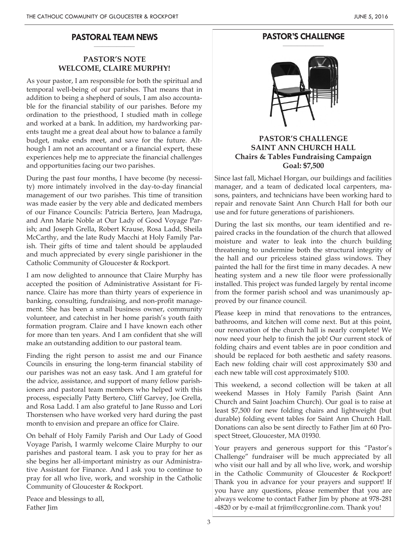#### **PASTORAL TEAM NEWS \_\_\_\_\_\_\_\_\_\_\_\_\_\_\_\_\_\_\_\_**

## **PASTOR'S NOTE WELCOME, CLAIRE MURPHY!**

As your pastor, I am responsible for both the spiritual and temporal well-being of our parishes. That means that in addition to being a shepherd of souls, I am also accountable for the financial stability of our parishes. Before my ordination to the priesthood, I studied math in college and worked at a bank. In addition, my hardworking parents taught me a great deal about how to balance a family budget, make ends meet, and save for the future. Although I am not an accountant or a financial expert, these experiences help me to appreciate the financial challenges and opportunities facing our two parishes.

During the past four months, I have become (by necessity) more intimately involved in the day-to-day financial management of our two parishes. This time of transition was made easier by the very able and dedicated members of our Finance Councils: Patricia Bertero, Jean Madruga, and Ann Marie Noble at Our Lady of Good Voyage Parish; and Joseph Grella, Robert Krause, Rosa Ladd, Sheila McCarthy, and the late Rudy Macchi at Holy Family Parish. Their gifts of time and talent should be applauded and much appreciated by every single parishioner in the Catholic Community of Gloucester & Rockport.

I am now delighted to announce that Claire Murphy has accepted the position of Administrative Assistant for Finance. Claire has more than thirty years of experience in banking, consulting, fundraising, and non-profit management. She has been a small business owner, community volunteer, and catechist in her home parish's youth faith formation program. Claire and I have known each other for more than ten years. And I am confident that she will make an outstanding addition to our pastoral team.

Finding the right person to assist me and our Finance Councils in ensuring the long-term financial stability of our parishes was not an easy task. And I am grateful for the advice, assistance, and support of many fellow parishioners and pastoral team members who helped with this process, especially Patty Bertero, Cliff Garvey, Joe Grella, and Rosa Ladd. I am also grateful to Jane Russo and Lori Thorstensen who have worked very hard during the past month to envision and prepare an office for Claire.

On behalf of Holy Family Parish and Our Lady of Good Voyage Parish, I warmly welcome Claire Murphy to our parishes and pastoral team. I ask you to pray for her as she begins her all-important ministry as our Administrative Assistant for Finance. And I ask you to continue to pray for all who live, work, and worship in the Catholic Community of Gloucester & Rockport.

Peace and blessings to all, Father Jim

#### **PASTOR'S CHALLENGE \_\_\_\_\_\_\_\_\_\_\_\_\_\_\_\_\_\_\_\_**



## **PASTOR'S CHALLENGE SAINT ANN CHURCH HALL Chairs & Tables Fundraising Campaign Goal: \$7,500**

Since last fall, Michael Horgan, our buildings and facilities manager, and a team of dedicated local carpenters, masons, painters, and technicians have been working hard to repair and renovate Saint Ann Church Hall for both our use and for future generations of parishioners.

During the last six months, our team identified and repaired cracks in the foundation of the church that allowed moisture and water to leak into the church building threatening to undermine both the structural integrity of the hall and our priceless stained glass windows. They painted the hall for the first time in many decades. A new heating system and a new tile floor were professionally installed. This project was funded largely by rental income from the former parish school and was unanimously approved by our finance council.

Please keep in mind that renovations to the entrances, bathrooms, and kitchen will come next. But at this point, our renovation of the church hall is nearly complete! We now need your help to finish the job! Our current stock of folding chairs and event tables are in poor condition and should be replaced for both aesthetic and safety reasons. Each new folding chair will cost approximately \$30 and each new table will cost approximately \$100.

This weekend, a second collection will be taken at all weekend Masses in Holy Family Parish (Saint Ann Church and Saint Joachim Church). Our goal is to raise at least \$7,500 for new folding chairs and lightweight (but durable) folding event tables for Saint Ann Church Hall. Donations can also be sent directly to Father Jim at 60 Prospect Street, Gloucester, MA 01930.

Your prayers and generous support for this "Pastor's Challenge" fundraiser will be much appreciated by all who visit our hall and by all who live, work, and worship in the Catholic Community of Gloucester & Rockport! Thank you in advance for your prayers and support! If you have any questions, please remember that you are always welcome to contact Father Jim by phone at 978-281 -4820 or by e-mail at frjim@ccgronline.com. Thank you!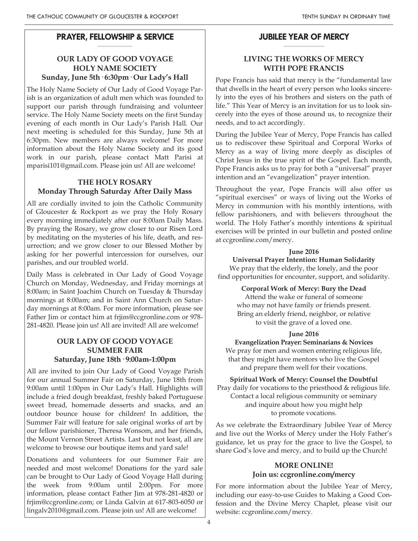#### **PRAYER, FELLOWSHIP & SERVICE \_\_\_\_\_\_\_\_\_\_\_\_\_\_\_\_\_**

## **OUR LADY OF GOOD VOYAGE HOLY NAME SOCIETY Sunday, June 5th· 6:30pm· Our Lady's Hall**

The Holy Name Society of Our Lady of Good Voyage Parish is an organization of adult men which was founded to support our parish through fundraising and volunteer service. The Holy Name Society meets on the first Sunday evening of each month in Our Lady's Parish Hall. Our next meeting is scheduled for this Sunday, June 5th at 6:30pm. New members are always welcome! For more information about the Holy Name Society and its good work in our parish, please contact Matt Parisi at mparisi101@gmail.com. Please join us! All are welcome!

## **THE HOLY ROSARY Monday Through Saturday After Daily Mass**

All are cordially invited to join the Catholic Community of Gloucester & Rockport as we pray the Holy Rosary every morning immediately after our 8:00am Daily Mass. By praying the Rosary, we grow closer to our Risen Lord by meditating on the mysteries of his life, death, and resurrection; and we grow closer to our Blessed Mother by asking for her powerful intercession for ourselves, our parishes, and our troubled world.

Daily Mass is celebrated in Our Lady of Good Voyage Church on Monday, Wednesday, and Friday mornings at 8:00am; in Saint Joachim Church on Tuesday & Thursday mornings at 8:00am; and in Saint Ann Church on Saturday mornings at 8:00am. For more information, please see Father Jim or contact him at frjim@ccgronline.com or 978- 281-4820. Please join us! All are invited! All are welcome!

## **OUR LADY OF GOOD VOYAGE SUMMER FAIR Saturday, June 18th· 9:00am-1:00pm**

All are invited to join Our Lady of Good Voyage Parish for our annual Summer Fair on Saturday, June 18th from 9:00am until 1:00pm in Our Lady's Hall. Highlights will include a fried dough breakfast, freshly baked Portuguese sweet bread, homemade desserts and snacks, and an outdoor bounce house for children! In addition, the Summer Fair will feature for sale original works of art by our fellow parishioner, Theresa Wonsom, and her friends, the Mount Vernon Street Artists. Last but not least, all are welcome to browse our boutique items and yard sale!

Donations and volunteers for our Summer Fair are needed and most welcome! Donations for the yard sale can be brought to Our Lady of Good Voyage Hall during the week from 9:00am until 2:00pm. For more information, please contact Father Jim at 978-281-4820 or frjim@ccgronline.com; or Linda Galvin at 617-803-6050 or lingalv2010@gmail.com. Please join us! All are welcome!

#### **JUBILEE YEAR OF MERCY \_\_\_\_\_\_\_\_\_\_\_\_\_\_\_\_\_\_\_\_**

## **LIVING THE WORKS OF MERCY WITH POPE FRANCIS**

Pope Francis has said that mercy is the "fundamental law that dwells in the heart of every person who looks sincerely into the eyes of his brothers and sisters on the path of life." This Year of Mercy is an invitation for us to look sincerely into the eyes of those around us, to recognize their needs, and to act accordingly.

During the Jubilee Year of Mercy, Pope Francis has called us to rediscover these Spiritual and Corporal Works of Mercy as a way of living more deeply as disciples of Christ Jesus in the true spirit of the Gospel. Each month, Pope Francis asks us to pray for both a "universal" prayer intention and an "evangelization" prayer intention.

Throughout the year, Pope Francis will also offer us "spiritual exercises" or ways of living out the Works of Mercy in communion with his monthly intentions, with fellow parishioners, and with believers throughout the world. The Holy Father's monthly intentions & spiritual exercises will be printed in our bulletin and posted online at ccgronline.com/mercy.

### **June 2016**

**Universal Prayer Intention: Human Solidarity** We pray that the elderly, the lonely, and the poor

find opportunities for encounter, support, and solidarity.

**Corporal Work of Mercy: Bury the Dead**

Attend the wake or funeral of someone who may not have family or friends present. Bring an elderly friend, neighbor, or relative to visit the grave of a loved one.

#### **June 2016**

**Evangelization Prayer: Seminarians & Novices** We pray for men and women entering religious life, that they might have mentors who live the Gospel and prepare them well for their vocations.

**Spiritual Work of Mercy: Counsel the Doubtful** Pray daily for vocations to the priesthood & religious life. Contact a local religious community or seminary and inquire about how you might help to promote vocations.

As we celebrate the Extraordinary Jubilee Year of Mercy and live out the Works of Mercy under the Holy Father's guidance, let us pray for the grace to live the Gospel, to share God's love and mercy, and to build up the Church!

## **MORE ONLINE! Join us: ccgronline.com/mercy**

For more information about the Jubilee Year of Mercy, including our easy-to-use Guides to Making a Good Confession and the Divine Mercy Chaplet, please visit our website: ccgronline.com/mercy.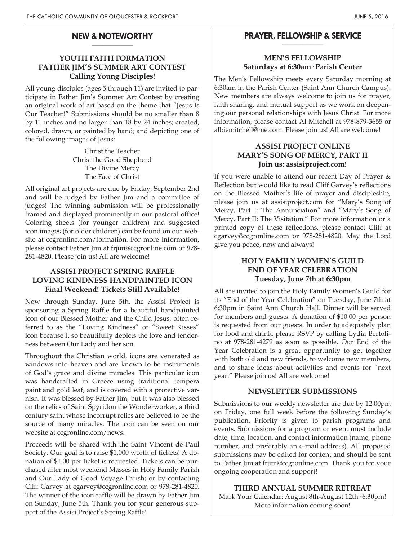#### **NEW & NOTEWORTHY \_\_\_\_\_\_\_\_\_\_\_\_\_\_\_\_\_\_\_\_**

## **YOUTH FAITH FORMATION FATHER JIM'S SUMMER ART CONTEST Calling Young Disciples!**

All young disciples (ages 5 through 11) are invited to participate in Father Jim's Summer Art Contest by creating an original work of art based on the theme that "Jesus Is Our Teacher!" Submissions should be no smaller than 8 by 11 inches and no larger than 18 by 24 inches; created, colored, drawn, or painted by hand; and depicting one of the following images of Jesus:

> Christ the Teacher Christ the Good Shepherd The Divine Mercy The Face of Christ

All original art projects are due by Friday, September 2nd and will be judged by Father Jim and a committee of judges! The winning submission will be professionally framed and displayed prominently in our pastoral office! Coloring sheets (for younger children) and suggested icon images (for older children) can be found on our website at ccgronline.com/formation. For more information, please contact Father Jim at frjim@ccgronline.com or 978- 281-4820. Please join us! All are welcome!

## **ASSISI PROJECT SPRING RAFFLE LOVING KINDNESS HANDPAINTED ICON Final Weekend! Tickets Still Available!**

Now through Sunday, June 5th, the Assisi Project is sponsoring a Spring Raffle for a beautiful handpainted icon of our Blessed Mother and the Child Jesus, often referred to as the "Loving Kindness" or "Sweet Kisses" icon because it so beautifully depicts the love and tenderness between Our Lady and her son.

Throughout the Christian world, icons are venerated as windows into heaven and are known to be instruments of God's grace and divine miracles. This particular icon was handcrafted in Greece using traditional tempera paint and gold leaf, and is covered with a protective varnish. It was blessed by Father Jim, but it was also blessed on the relics of Saint Spyridon the Wonderworker, a third century saint whose incorrupt relics are believed to be the source of many miracles. The icon can be seen on our website at ccgronline.com/news.

Proceeds will be shared with the Saint Vincent de Paul Society. Our goal is to raise \$1,000 worth of tickets! A donation of \$1.00 per ticket is requested. Tickets can be purchased after most weekend Masses in Holy Family Parish and Our Lady of Good Voyage Parish; or by contacting Cliff Garvey at cgarvey@ccgronline.com or 978-281-4820. The winner of the icon raffle will be drawn by Father Jim on Sunday, June 5th. Thank you for your generous support of the Assisi Project's Spring Raffle!

#### **PRAYER, FELLOWSHIP & SERVICE \_\_\_\_\_\_\_\_\_\_\_\_\_\_\_\_\_\_\_\_**

## **MEN'S FELLOWSHIP Saturdays at 6:30am· Parish Center**

The Men's Fellowship meets every Saturday morning at 6:30am in the Parish Center (Saint Ann Church Campus). New members are always welcome to join us for prayer, faith sharing, and mutual support as we work on deepening our personal relationships with Jesus Christ. For more information, please contact Al Mitchell at 978-879-3655 or albiemitchell@me.com. Please join us! All are welcome!

## **ASSISI PROJECT ONLINE MARY'S SONG OF MERCY, PART II Join us: assisiproject.com!**

If you were unable to attend our recent Day of Prayer & Reflection but would like to read Cliff Garvey's reflections on the Blessed Mother's life of prayer and discipleship, please join us at assisiproject.com for "Mary's Song of Mercy, Part I: The Annunciation" and "Mary's Song of Mercy, Part II: The Visitation." For more information or a printed copy of these reflections, please contact Cliff at cgarvey@ccgronline.com or 978-281-4820. May the Lord give you peace, now and always!

## **HOLY FAMILY WOMEN'S GUILD END OF YEAR CELEBRATION Tuesday, June 7th at 6:30pm**

All are invited to join the Holy Family Women's Guild for its "End of the Year Celebration" on Tuesday, June 7th at 6:30pm in Saint Ann Church Hall. Dinner will be served for members and guests. A donation of \$10.00 per person is requested from our guests. In order to adequately plan for food and drink, please RSVP by calling Lydia Bertolino at 978-281-4279 as soon as possible. Our End of the Year Celebration is a great opportunity to get together with both old and new friends, to welcome new members, and to share ideas about activities and events for "next year." Please join us! All are welcome!

## **NEWSLETTER SUBMISSIONS**

Submissions to our weekly newsletter are due by 12:00pm on Friday, one full week before the following Sunday's publication. Priority is given to parish programs and events. Submissions for a program or event must include date, time, location, and contact information (name, phone number, and preferably an e-mail address). All proposed submissions may be edited for content and should be sent to Father Jim at frjim@ccgronline.com. Thank you for your ongoing cooperation and support!

**THIRD ANNUAL SUMMER RETREAT** Mark Your Calendar: August 8th-August 12th· 6:30pm! More information coming soon!